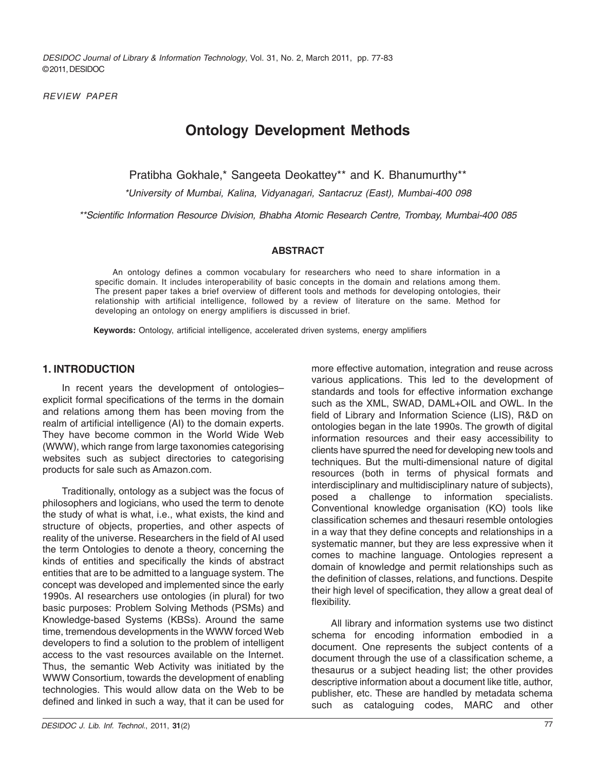*DESIDOC Journal of Library & Information Technology*, Vol. 31, No. 2, March 2011, pp. 77-83 © 2011, DESIDOC

*REVIEW PAPER*

# **Ontology Development Methods**

Pratibha Gokhale,\* Sangeeta Deokattey\*\* and K. Bhanumurthy\*\*

*\*University of Mumbai, Kalina, Vidyanagari, Santacruz (East), Mumbai-400 098*

*\*\*Scientific Information Resource Division, Bhabha Atomic Research Centre, Trombay, Mumbai-400 085*

#### **ABSTRACT**

An ontology defines a common vocabulary for researchers who need to share information in a specific domain. It includes interoperability of basic concepts in the domain and relations among them. The present paper takes a brief overview of different tools and methods for developing ontologies, their relationship with artificial intelligence, followed by a review of literature on the same. Method for developing an ontology on energy amplifiers is discussed in brief.

**Keywords:** Ontology, artificial intelligence, accelerated driven systems, energy amplifiers

### **1. INTRODUCTION**

In recent years the development of ontologies– explicit formal specifications of the terms in the domain and relations among them has been moving from the realm of artificial intelligence (AI) to the domain experts. They have become common in the World Wide Web (WWW), which range from large taxonomies categorising websites such as subject directories to categorising products for sale such as Amazon.com.

Traditionally, ontology as a subject was the focus of philosophers and logicians, who used the term to denote the study of what is what, i.e., what exists, the kind and structure of objects, properties, and other aspects of reality of the universe. Researchers in the field of AI used the term Ontologies to denote a theory, concerning the kinds of entities and specifically the kinds of abstract entities that are to be admitted to a language system. The concept was developed and implemented since the early 1990s. AI researchers use ontologies (in plural) for two basic purposes: Problem Solving Methods (PSMs) and Knowledge-based Systems (KBSs). Around the same time, tremendous developments in the WWW forced Web developers to find a solution to the problem of intelligent access to the vast resources available on the Internet. Thus, the semantic Web Activity was initiated by the WWW Consortium, towards the development of enabling technologies. This would allow data on the Web to be defined and linked in such a way, that it can be used for

more effective automation, integration and reuse across various applications. This led to the development of standards and tools for effective information exchange such as the XML, SWAD, DAML+OIL and OWL. In the field of Library and Information Science (LIS), R&D on ontologies began in the late 1990s. The growth of digital information resources and their easy accessibility to clients have spurred the need for developing new tools and techniques. But the multi-dimensional nature of digital resources (both in terms of physical formats and interdisciplinary and multidisciplinary nature of subjects), posed a challenge to information specialists. Conventional knowledge organisation (KO) tools like classification schemes and thesauri resemble ontologies in a way that they define concepts and relationships in a systematic manner, but they are less expressive when it comes to machine language. Ontologies represent a domain of knowledge and permit relationships such as the definition of classes, relations, and functions. Despite their high level of specification, they allow a great deal of flexibility.

All library and information systems use two distinct schema for encoding information embodied in a document. One represents the subject contents of a document through the use of a classification scheme, a thesaurus or a subject heading list; the other provides descriptive information about a document like title, author, publisher, etc. These are handled by metadata schema such as cataloguing codes, MARC and other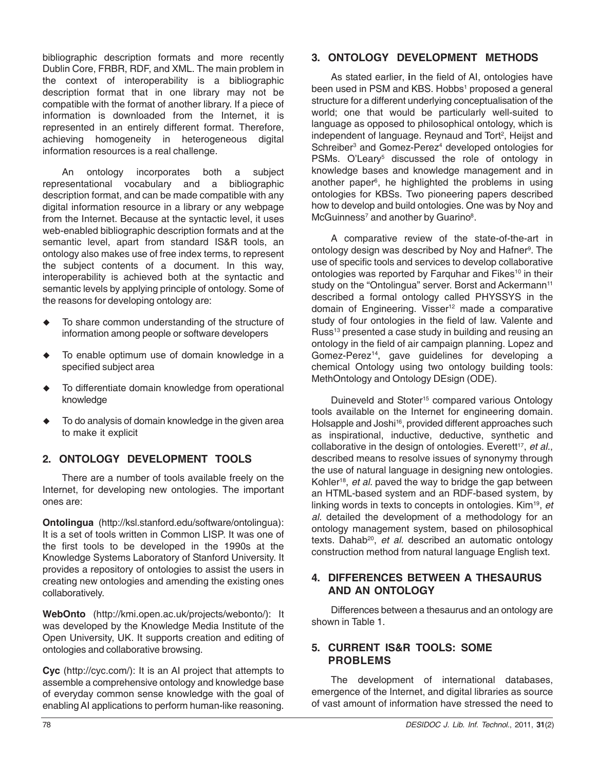bibliographic description formats and more recently Dublin Core, FRBR, RDF, and XML. The main problem in the context of interoperability is a bibliographic description format that in one library may not be compatible with the format of another library. If a piece of information is downloaded from the Internet, it is represented in an entirely different format. Therefore, achieving homogeneity in heterogeneous digital information resources is a real challenge.

An ontology incorporates both a subject representational vocabulary and a bibliographic description format, and can be made compatible with any digital information resource in a library or any webpage from the Internet. Because at the syntactic level, it uses web-enabled bibliographic description formats and at the semantic level, apart from standard IS&R tools, an ontology also makes use of free index terms, to represent the subject contents of a document. In this way, interoperability is achieved both at the syntactic and semantic levels by applying principle of ontology. Some of the reasons for developing ontology are:

- $\ddot{\bullet}$  To share common understanding of the structure of information among people or software developers
- $\bullet$  To enable optimum use of domain knowledge in a specified subject area
- $\ddot{\bullet}$  To differentiate domain knowledge from operational knowledge
- $\ddot{\bullet}$  To do analysis of domain knowledge in the given area to make it explicit

# **2. ONTOLOGY DEVELOPMENT TOOLS**

There are a number of tools available freely on the Internet, for developing new ontologies. The important ones are:

**Ontolingua** (http://ksl.stanford.edu/software/ontolingua): It is a set of tools written in Common LISP. It was one of the first tools to be developed in the 1990s at the Knowledge Systems Laboratory of Stanford University. It provides a repository of ontologies to assist the users in creating new ontologies and amending the existing ones collaboratively.

**WebOnto** (http://kmi.open.ac.uk/projects/webonto/): It was developed by the Knowledge Media Institute of the Open University, UK. It supports creation and editing of ontologies and collaborative browsing.

**Cyc** (http://cyc.com/): It is an AI project that attempts to assemble a comprehensive ontology and knowledge base of everyday common sense knowledge with the goal of enabling AI applications to perform human-like reasoning.

# **3. ONTOLOGY DEVELOPMENT METHODS**

As stated earlier, **i**n the field of AI, ontologies have been used in PSM and KBS. Hobbs<sup>1</sup> proposed a general structure for a different underlying conceptualisation of the world; one that would be particularly well-suited to language as opposed to philosophical ontology, which is independent of language. Reynaud and Tort<sup>2</sup>, Heijst and Schreiber<sup>3</sup> and Gomez-Perez<sup>4</sup> developed ontologies for PSMs. O'Leary<sup>5</sup> discussed the role of ontology in knowledge bases and knowledge management and in another paper<sup>6</sup>, he highlighted the problems in using ontologies for KBSs. Two pioneering papers described how to develop and build ontologies. One was by Noy and McGuinness<sup>7</sup> and another by Guarino<sup>8</sup>.

A comparative review of the state-of-the-art in ontology design was described by Noy and Hafner<sup>9</sup>. The use of specific tools and services to develop collaborative ontologies was reported by Farquhar and Fikes<sup>10</sup> in their study on the "Ontolingua" server. Borst and Ackermann<sup>11</sup> described a formal ontology called PHYSSYS in the domain of Engineering. Visser<sup>12</sup> made a comparative study of four ontologies in the field of law. Valente and Russ<sup>13</sup> presented a case study in building and reusing an ontology in the field of air campaign planning. Lopez and Gomez-Perez<sup>14</sup>, gave guidelines for developing a chemical Ontology using two ontology building tools: MethOntology and Ontology DEsign (ODE).

Duineveld and Stoter<sup>15</sup> compared various Ontology tools available on the Internet for engineering domain. Holsapple and Joshi<sup>16</sup>, provided different approaches such as inspirational, inductive, deductive, synthetic and collaborative in the design of ontologies. Everett<sup>17</sup>, et al., described means to resolve issues of synonymy through the use of natural language in designing new ontologies. Kohler18, *et al.* paved the way to bridge the gap between an HTML-based system and an RDF-based system, by linking words in texts to concepts in ontologies. Kim19, *et al.* detailed the development of a methodology for an ontology management system, based on philosophical texts. Dahab<sup>20</sup>, et al. described an automatic ontology construction method from natural language English text.

### **4. DIFFERENCES BETWEEN A THESAURUS AND AN ONTOLOGY**

Differences between a thesaurus and an ontology are shown in Table 1.

# **5. CURRENT IS&R TOOLS: SOME PROBLEMS**

The development of international databases, emergence of the Internet, and digital libraries as source of vast amount of information have stressed the need to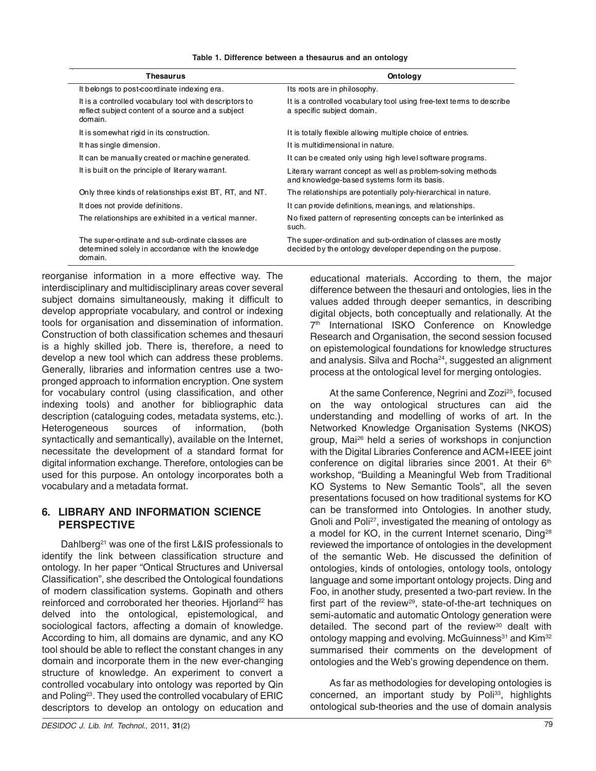| Thesaurus                                                                                                              | Ontology                                                                                                                     |  |  |
|------------------------------------------------------------------------------------------------------------------------|------------------------------------------------------------------------------------------------------------------------------|--|--|
| It belongs to post-coordinate indexing era.                                                                            | Its roots are in philosophy.                                                                                                 |  |  |
| It is a controlled vocabulary tool with descriptors to<br>reflect subject content of a source and a subject<br>domain. | It is a controlled vocabulary tool using free-text terms to describe<br>a specific subject domain.                           |  |  |
| It is somewhat rigid in its construction.                                                                              | It is totally flexible allowing multiple choice of entries.                                                                  |  |  |
| It has single dimension.                                                                                               | It is multidimensional in nature.                                                                                            |  |  |
| It can be manually created or machine generated.                                                                       | It can be created only using high level software programs.                                                                   |  |  |
| It is built on the principle of literary warrant.                                                                      | Literary warrant concept as well as problem-solving methods<br>and knowledge-based systems form its basis.                   |  |  |
| Only three kinds of relationships exist BT, RT, and NT.                                                                | The relationships are potentially poly-hierarchical in nature.                                                               |  |  |
| It does not provide definitions.                                                                                       | It can provide definitions, meanings, and relationships.                                                                     |  |  |
| The relationships are exhibited in a vertical manner.                                                                  | No fixed pattern of representing concepts can be interlinked as<br>such.                                                     |  |  |
| The super-ordinate and sub-ordinate classes are<br>determined solely in accordance with the knowledge<br>domain.       | The super-ordination and sub-ordination of classes are mostly<br>decided by the ontology developer depending on the purpose. |  |  |

|  |  | Table 1. Difference between a thesaurus and an ontology |  |  |  |  |  |  |
|--|--|---------------------------------------------------------|--|--|--|--|--|--|
|--|--|---------------------------------------------------------|--|--|--|--|--|--|

reorganise information in a more effective way. The interdisciplinary and multidisciplinary areas cover several subject domains simultaneously, making it difficult to develop appropriate vocabulary, and control or indexing tools for organisation and dissemination of information. Construction of both classification schemes and thesauri is a highly skilled job. There is, therefore, a need to develop a new tool which can address these problems. Generally, libraries and information centres use a twopronged approach to information encryption. One system for vocabulary control (using classification, and other indexing tools) and another for bibliographic data description (cataloguing codes, metadata systems, etc.). Heterogeneous sources of information, (both syntactically and semantically), available on the Internet, necessitate the development of a standard format for digital information exchange. Therefore, ontologies can be used for this purpose. An ontology incorporates both a vocabulary and a metadata format.

# **6. LIBRARY AND INFORMATION SCIENCE PERSPECTIVE**

Dahlberg<sup>21</sup> was one of the first L&IS professionals to identify the link between classification structure and ontology. In her paper "Ontical Structures and Universal Classification", she described the Ontological foundations of modern classification systems. Gopinath and others reinforced and corroborated her theories. Hjorland<sup>22</sup> has delved into the ontological, epistemological, and sociological factors, affecting a domain of knowledge. According to him, all domains are dynamic, and any KO tool should be able to reflect the constant changes in any domain and incorporate them in the new ever-changing structure of knowledge. An experiment to convert a controlled vocabulary into ontology was reported by Qin and Poling<sup>23</sup>. They used the controlled vocabulary of ERIC descriptors to develop an ontology on education and

educational materials. According to them, the major difference between the thesauri and ontologies, lies in the values added through deeper semantics, in describing digital objects, both conceptually and relationally. At the 7<sup>th</sup> International ISKO Conference on Knowledge Research and Organisation, the second session focused on epistemological foundations for knowledge structures and analysis. Silva and Rocha<sup>24</sup>, suggested an alignment process at the ontological level for merging ontologies.

At the same Conference, Negrini and Zozi<sup>25</sup>, focused on the way ontological structures can aid the understanding and modelling of works of art. In the Networked Knowledge Organisation Systems (NKOS) group, Mai26 held a series of workshops in conjunction with the Digital Libraries Conference and ACM+IEEE joint conference on digital libraries since 2001. At their 6<sup>th</sup> workshop, "Building a Meaningful Web from Traditional KO Systems to New Semantic Tools", all the seven presentations focused on how traditional systems for KO can be transformed into Ontologies. In another study, Gnoli and Poli<sup>27</sup>, investigated the meaning of ontology as a model for KO, in the current Internet scenario, Ding28 reviewed the importance of ontologies in the development of the semantic Web. He discussed the definition of ontologies, kinds of ontologies, ontology tools, ontology language and some important ontology projects. Ding and Foo, in another study, presented a two-part review. In the first part of the review<sup>29</sup>, state-of-the-art techniques on semi-automatic and automatic Ontology generation were detailed. The second part of the review $30$  dealt with ontology mapping and evolving. McGuinness<sup>31</sup> and Kim<sup>32</sup> summarised their comments on the development of ontologies and the Web's growing dependence on them.

As far as methodologies for developing ontologies is concerned, an important study by Poli<sup>33</sup>, highlights ontological sub-theories and the use of domain analysis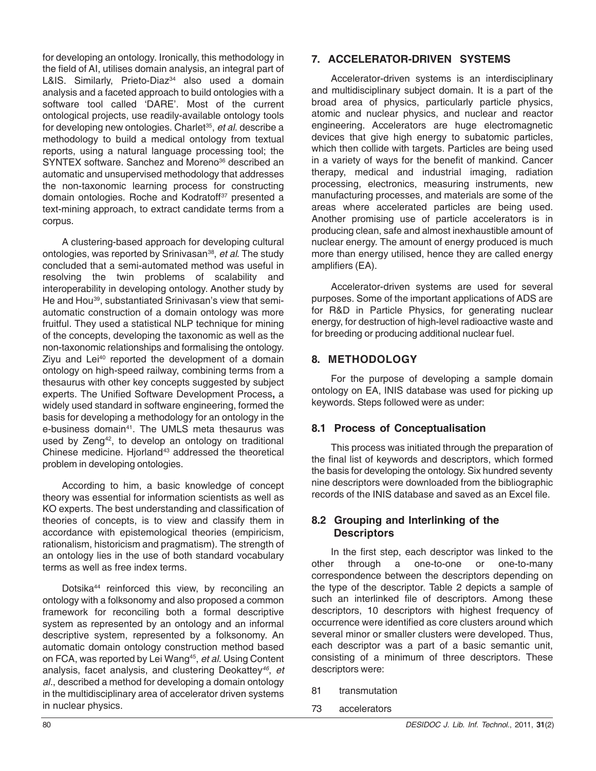for developing an ontology. Ironically, this methodology in the field of AI, utilises domain analysis, an integral part of L&IS. Similarly, Prieto-Diaz<sup>34</sup> also used a domain analysis and a faceted approach to build ontologies with a software tool called 'DARE'. Most of the current ontological projects, use readily-available ontology tools for developing new ontologies. Charlet<sup>35</sup>, et al. describe a methodology to build a medical ontology from textual reports, using a natural language processing tool; the SYNTEX software. Sanchez and Moreno<sup>36</sup> described an automatic and unsupervised methodology that addresses the non-taxonomic learning process for constructing domain ontologies. Roche and Kodratoff<sup>37</sup> presented a text-mining approach, to extract candidate terms from a corpus.

A clustering-based approach for developing cultural ontologies, was reported by Srinivasan38, *et al*. The study concluded that a semi-automated method was useful in resolving the twin problems of scalability and interoperability in developing ontology. Another study by He and Hou39, substantiated Srinivasan's view that semiautomatic construction of a domain ontology was more fruitful. They used a statistical NLP technique for mining of the concepts, developing the taxonomic as well as the non-taxonomic relationships and formalising the ontology. Ziyu and Lei<sup>40</sup> reported the development of a domain ontology on high-speed railway, combining terms from a thesaurus with other key concepts suggested by subject experts. The Unified Software Development Process**,** a widely used standard in software engineering, formed the basis for developing a methodology for an ontology in the e-business domain<sup>41</sup>. The UMLS meta thesaurus was used by Zeng<sup>42</sup>, to develop an ontology on traditional Chinese medicine. Hiorland<sup>43</sup> addressed the theoretical problem in developing ontologies.

According to him, a basic knowledge of concept theory was essential for information scientists as well as KO experts. The best understanding and classification of theories of concepts, is to view and classify them in accordance with epistemological theories (empiricism, rationalism, historicism and pragmatism). The strength of an ontology lies in the use of both standard vocabulary terms as well as free index terms.

Dotsika<sup>44</sup> reinforced this view, by reconciling an ontology with a folksonomy and also proposed a common framework for reconciling both a formal descriptive system as represented by an ontology and an informal descriptive system, represented by a folksonomy. An automatic domain ontology construction method based on FCA, was reported by Lei Wang45, *et al*. Using Content analysis, facet analysis, and clustering Deokattey*46*, *et al*., described a method for developing a domain ontology in the multidisciplinary area of accelerator driven systems in nuclear physics.

# **7. ACCELERATOR-DRIVEN SYSTEMS**

Accelerator-driven systems is an interdisciplinary and multidisciplinary subject domain. It is a part of the broad area of physics, particularly particle physics, atomic and nuclear physics, and nuclear and reactor engineering. Accelerators are huge electromagnetic devices that give high energy to subatomic particles, which then collide with targets. Particles are being used in a variety of ways for the benefit of mankind. Cancer therapy, medical and industrial imaging, radiation processing, electronics, measuring instruments, new manufacturing processes, and materials are some of the areas where accelerated particles are being used. Another promising use of particle accelerators is in producing clean, safe and almost inexhaustible amount of nuclear energy. The amount of energy produced is much more than energy utilised, hence they are called energy amplifiers (EA).

Accelerator-driven systems are used for several purposes. Some of the important applications of ADS are for R&D in Particle Physics, for generating nuclear energy, for destruction of high-level radioactive waste and for breeding or producing additional nuclear fuel.

# **8. METHODOLOGY**

For the purpose of developing a sample domain ontology on EA, INIS database was used for picking up keywords. Steps followed were as under:

# **8.1 Process of Conceptualisation**

This process was initiated through the preparation of the final list of keywords and descriptors, which formed the basis for developing the ontology. Six hundred seventy nine descriptors were downloaded from the bibliographic records of the INIS database and saved as an Excel file.

# **8.2 Grouping and Interlinking of the Descriptors**

In the first step, each descriptor was linked to the other through a one-to-one or one-to-many correspondence between the descriptors depending on the type of the descriptor. Table 2 depicts a sample of such an interlinked file of descriptors. Among these descriptors, 10 descriptors with highest frequency of occurrence were identified as core clusters around which several minor or smaller clusters were developed. Thus, each descriptor was a part of a basic semantic unit, consisting of a minimum of three descriptors. These descriptors were:

- 81 transmutation
- 73 accelerators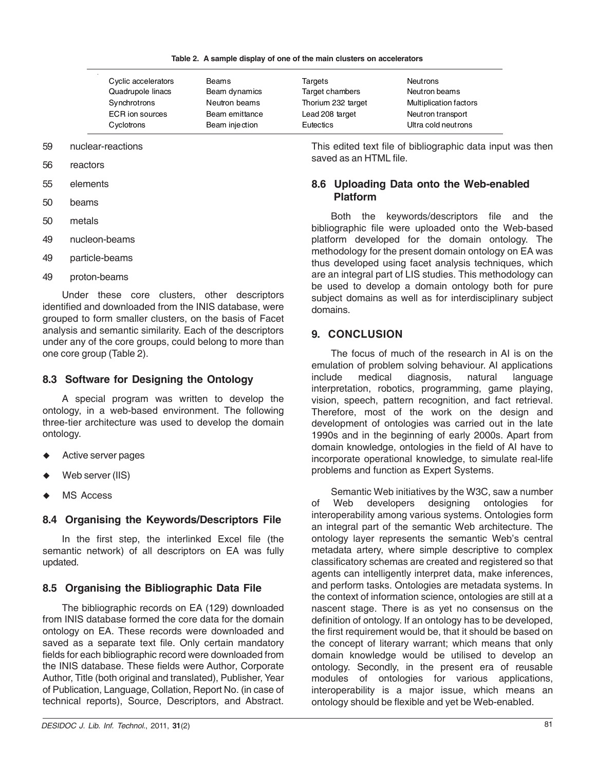|  |  |  |  | Table 2. A sample display of one of the main clusters on accelerators |
|--|--|--|--|-----------------------------------------------------------------------|
|  |  |  |  |                                                                       |

| Cyclic accelerators    | Beams          | Targets            | <b>Neutrons</b>        |
|------------------------|----------------|--------------------|------------------------|
| Quadrupole linacs      | Beam dynamics  | Target chambers    | Neutron beams          |
| Synchrotrons           | Neutron beams  | Thorium 232 target | Multiplication factors |
| <b>ECR</b> ion sources | Beam emittance | Lead 208 target    | Neutron transport      |
| Cyclotrons             | Beam injection | Eutectics          | Ultra cold neutrons    |

#### 59 nuclear-reactions

- 56 reactors
- 55 elements
- 50 beams
- 50 metals
- 49 nucleon-beams
- 49 particle-beams
- 49 proton-beams

Under these core clusters, other descriptors identified and downloaded from the INIS database, were grouped to form smaller clusters, on the basis of Facet analysis and semantic similarity. Each of the descriptors under any of the core groups, could belong to more than one core group (Table 2).

# **8.3 Software for Designing the Ontology**

A special program was written to develop the ontology, in a web-based environment. The following three-tier architecture was used to develop the domain ontology.

- $\ddot{\bullet}$ Active server pages
- $\ddot{\bullet}$ Web server (IIS)
- $\ddot{\bullet}$ MS Access

### **8.4 Organising the Keywords/Descriptors File**

In the first step, the interlinked Excel file (the semantic network) of all descriptors on EA was fully updated.

# **8.5 Organising the Bibliographic Data File**

The bibliographic records on EA (129) downloaded from INIS database formed the core data for the domain ontology on EA. These records were downloaded and saved as a separate text file. Only certain mandatory fields for each bibliographic record were downloaded from the INIS database. These fields were Author, Corporate Author, Title (both original and translated), Publisher, Year of Publication, Language, Collation, Report No. (in case of technical reports), Source, Descriptors, and Abstract.

This edited text file of bibliographic data input was then saved as an HTML file.

# **8.6 Uploading Data onto the Web-enabled Platform**

Both the keywords/descriptors file and the bibliographic file were uploaded onto the Web-based platform developed for the domain ontology. The methodology for the present domain ontology on EA was thus developed using facet analysis techniques, which are an integral part of LIS studies. This methodology can be used to develop a domain ontology both for pure subject domains as well as for interdisciplinary subject domains.

### **9. CONCLUSION**

The focus of much of the research in AI is on the emulation of problem solving behaviour. AI applications include medical diagnosis, natural language interpretation, robotics, programming, game playing, vision, speech, pattern recognition, and fact retrieval. Therefore, most of the work on the design and development of ontologies was carried out in the late 1990s and in the beginning of early 2000s. Apart from domain knowledge, ontologies in the field of AI have to incorporate operational knowledge, to simulate real-life problems and function as Expert Systems.

Semantic Web initiatives by the W3C, saw a number of Web developers designing ontologies for interoperability among various systems. Ontologies form an integral part of the semantic Web architecture. The ontology layer represents the semantic Web's central metadata artery, where simple descriptive to complex classificatory schemas are created and registered so that agents can intelligently interpret data, make inferences, and perform tasks. Ontologies are metadata systems. In the context of information science, ontologies are still at a nascent stage. There is as yet no consensus on the definition of ontology. If an ontology has to be developed, the first requirement would be, that it should be based on the concept of literary warrant; which means that only domain knowledge would be utilised to develop an ontology. Secondly, in the present era of reusable modules of ontologies for various applications, interoperability is a major issue, which means an ontology should be flexible and yet be Web-enabled.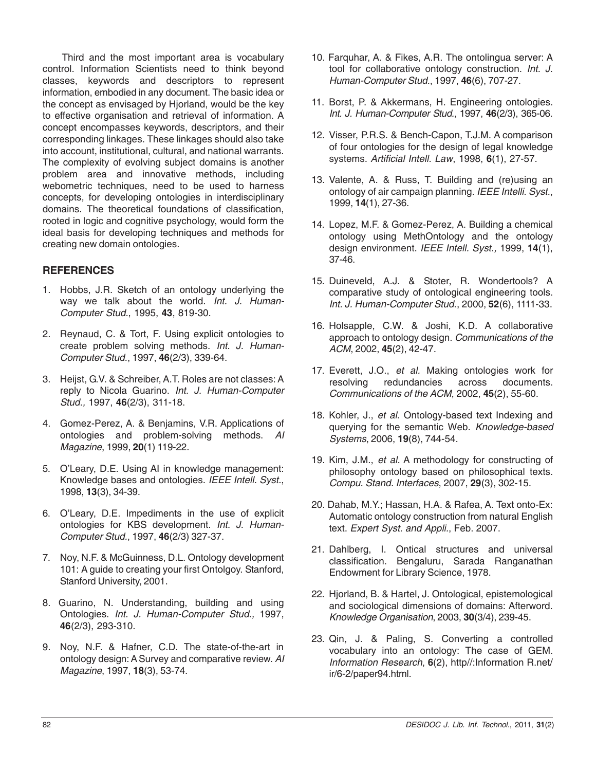Third and the most important area is vocabulary control. Information Scientists need to think beyond classes, keywords and descriptors to represent information, embodied in any document. The basic idea or the concept as envisaged by Hjorland, would be the key to effective organisation and retrieval of information. A concept encompasses keywords, descriptors, and their corresponding linkages. These linkages should also take into account, institutional, cultural, and national warrants. The complexity of evolving subject domains is another problem area and innovative methods, including webometric techniques, need to be used to harness concepts, for developing ontologies in interdisciplinary domains. The theoretical foundations of classification, rooted in logic and cognitive psychology, would form the ideal basis for developing techniques and methods for creating new domain ontologies.

# **REFERENCES**

- 1. Hobbs, J.R. Sketch of an ontology underlying the way we talk about the world. *Int. J. Human-Computer Stud.*, 1995, **43**, 819-30.
- 2. Reynaud, C. & Tort, F. Using explicit ontologies to create problem solving methods. *Int. J. Human-Computer Stud.*, 1997, **46**(2/3), 339-64.
- 3. Heijst, G.V. & Schreiber, A.T. Roles are not classes: A reply to Nicola Guarino. *Int. J. Human-Computer Stud.,* 1997, **46**(2/3), 311-18.
- 4. Gomez-Perez, A. & Benjamins, V.R. Applications of ontologies and problem-solving methods. *AI Magazine*, 1999, **20**(1) 119-22.
- 5. O'Leary, D.E. Using AI in knowledge management: Knowledge bases and ontologies. *IEEE Intell. Syst.*, 1998, **13**(3), 34-39.
- 6. O'Leary, D.E. Impediments in the use of explicit ontologies for KBS development. *Int. J. Human-Computer Stud.*, 1997, **46**(2/3) 327-37.
- 7. Noy, N.F. & McGuinness, D.L. Ontology development 101: A guide to creating your first Ontolgoy. Stanford, Stanford University, 2001.
- 8. Guarino, N. Understanding, building and using Ontologies. *Int. J. Human-Computer Stud.,* 1997, **46**(2/3), 293-310.
- 9. Noy, N.F. & Hafner, C.D. The state-of-the-art in ontology design: A Survey and comparative review. *AI Magazine*, 1997, **18**(3), 53-74.
- 10. Farquhar, A. & Fikes, A.R. The ontolingua server: A tool for collaborative ontology construction. *Int. J. Human-Computer Stud.*, 1997, **46**(6), 707-27.
- 11. Borst, P. & Akkermans, H. Engineering ontologies. *Int. J. Human-Computer Stud.,* 1997, **46**(2/3), 365-06.
- 12. Visser, P.R.S. & Bench-Capon, T.J.M. A comparison of four ontologies for the design of legal knowledge systems. *Artificial Intell. Law*, 1998, **6**(1), 27-57.
- 13. Valente, A. & Russ, T. Building and (re)using an ontology of air campaign planning*. IEEE Intelli. Syst.*, 1999, **14**(1), 27-36.
- 14. Lopez, M.F. & Gomez-Perez, A. Building a chemical ontology using MethOntology and the ontology design environment. *IEEE Intell. Syst.,* 1999, **14**(1), 37-46.
- 15. Duineveld, A.J. & Stoter, R. Wondertools? A comparative study of ontological engineering tools. *Int. J. Human-Computer Stud.*, 2000, **52**(6), 1111-33.
- 16. Holsapple, C.W. & Joshi, K.D. A collaborative approach to ontology design. *Communications of the ACM*, 2002, **45**(2), 42-47.
- 17. Everett, J.O., *et al.* Making ontologies work for resolving redundancies across documents. *Communications of the ACM*, 2002, **45**(2), 55-60.
- 18. Kohler, J., *et al.* Ontology-based text Indexing and querying for the semantic Web. *Knowledge-based Systems*, 2006, **19**(8), 744-54.
- 19. Kim, J.M., *et al.* A methodology for constructing of philosophy ontology based on philosophical texts. *Compu. Stand. Interfaces*, 2007, **29**(3), 302-15.
- 20. Dahab, M.Y.; Hassan, H.A. & Rafea, A. Text onto-Ex: Automatic ontology construction from natural English text. *Expert Syst. and Appli.*, Feb. 2007.
- 21. Dahlberg, I. Ontical structures and universal classification. Bengaluru, Sarada Ranganathan Endowment for Library Science, 1978.
- 22. Hjorland, B. & Hartel, J. Ontological, epistemological and sociological dimensions of domains: Afterword. *Knowledge Organisation*, 2003, **30**(3/4), 239-45.
- 23. Qin, J. & Paling, S. Converting a controlled vocabulary into an ontology: The case of GEM. *Information Research*, **6**(2), http//:Information R.net/ ir/6-2/paper94.html.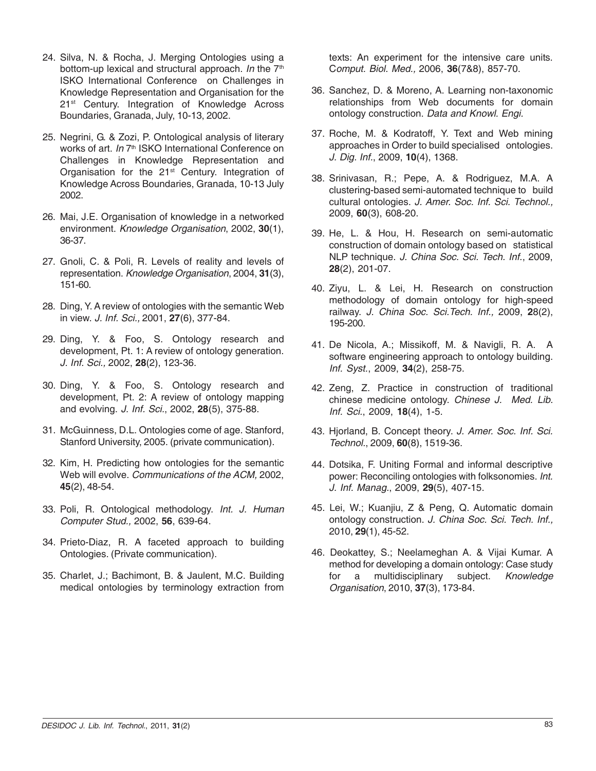- 24. Silva, N. & Rocha, J. Merging Ontologies using a bottom-up lexical and structural approach. *In* the 7<sup>th</sup> ISKO International Conference on Challenges in Knowledge Representation and Organisation for the 21<sup>st</sup> Century. Integration of Knowledge Across Boundaries, Granada, July, 10-13, 2002.
- 25. Negrini, G. & Zozi, P. Ontological analysis of literary works of art. *In* 7<sup>th</sup> ISKO International Conference on Challenges in Knowledge Representation and Organisation for the 21<sup>st</sup> Century. Integration of Knowledge Across Boundaries, Granada, 10-13 July 2002.
- 26. Mai, J.E. Organisation of knowledge in a networked environment. *Knowledge Organisation*, 2002, **30**(1), 36-37.
- 27. Gnoli, C. & Poli, R. Levels of reality and levels of representation. *Knowledge Organisation*, 2004, **31**(3), 151-60.
- 28. Ding, Y. A review of ontologies with the semantic Web in view. *J. Inf. Sci.,* 2001, **27**(6), 377-84.
- 29. Ding, Y. & Foo, S. Ontology research and development, Pt. 1: A review of ontology generation. *J. Inf. Sci.,* 2002, **28**(2), 123-36.
- 30. Ding, Y. & Foo, S. Ontology research and development, Pt. 2: A review of ontology mapping and evolving. *J. Inf. Sci.*, 2002, **28**(5), 375-88.
- 31. McGuinness, D.L. Ontologies come of age. Stanford, Stanford University, 2005. (private communication).
- 32. Kim, H. Predicting how ontologies for the semantic Web will evolve. *Communications of the ACM,* 2002, **45**(2), 48-54.
- 33. Poli, R. Ontological methodology. *Int. J. Human Computer Stud.,* 2002, **56**, 639-64.
- 34. Prieto-Diaz, R. A faceted approach to building Ontologies. (Private communication).
- 35. Charlet, J.; Bachimont, B. & Jaulent, M.C. Building medical ontologies by terminology extraction from

texts: An experiment for the intensive care units. C*omput. Biol. Med.,* 2006, **36**(7&8), 857-70.

- 36. Sanchez, D. & Moreno, A. Learning non-taxonomic relationships from Web documents for domain ontology construction. *Data and Knowl. Engi.*
- 37. Roche, M. & Kodratoff, Y. Text and Web mining approaches in Order to build specialised ontologies. *J. Dig. Inf.*, 2009, **10**(4), 1368.
- 38. Srinivasan, R.; Pepe, A. & Rodriguez, M.A. A clustering-based semi-automated technique to build cultural ontologies. *J. Amer. Soc. Inf. Sci. Technol.,* 2009, **60**(3), 608-20.
- 39. He, L. & Hou, H. Research on semi-automatic construction of domain ontology based on statistical NLP technique. *J. China Soc. Sci. Tech. Inf.*, 2009, **28**(2), 201-07.
- 40. Ziyu, L. & Lei, H. Research on construction methodology of domain ontology for high-speed railway. *J. China Soc. Sci.Tech. Inf.,* 2009, **2**8(2), 195-200.
- 41. De Nicola, A.; Missikoff, M. & Navigli, R. A. A software engineering approach to ontology building. *Inf. Syst.*, 2009, **34**(2), 258-75.
- 42. Zeng, Z. Practice in construction of traditional chinese medicine ontology. *Chinese J. Med. Lib. Inf. Sci.*, 2009, **18**(4), 1-5.
- 43. Hjorland, B. Concept theory. *J. Amer. Soc. Inf. Sci. Technol.*, 2009, **60**(8), 1519-36.
- 44. Dotsika, F. Uniting Formal and informal descriptive power: Reconciling ontologies with folksonomies. *Int. J. Inf. Manag.*, 2009, **29**(5), 407-15.
- 45. Lei, W.; Kuanjiu, Z & Peng, Q. Automatic domain ontology construction. *J. China Soc. Sci. Tech. Inf.,* 2010, **29**(1), 45-52.
- 46. Deokattey, S.; Neelameghan A. & Vijai Kumar. A method for developing a domain ontology: Case study for a multidisciplinary subject. *Knowledge Organisation*, 2010, **37**(3), 173-84.